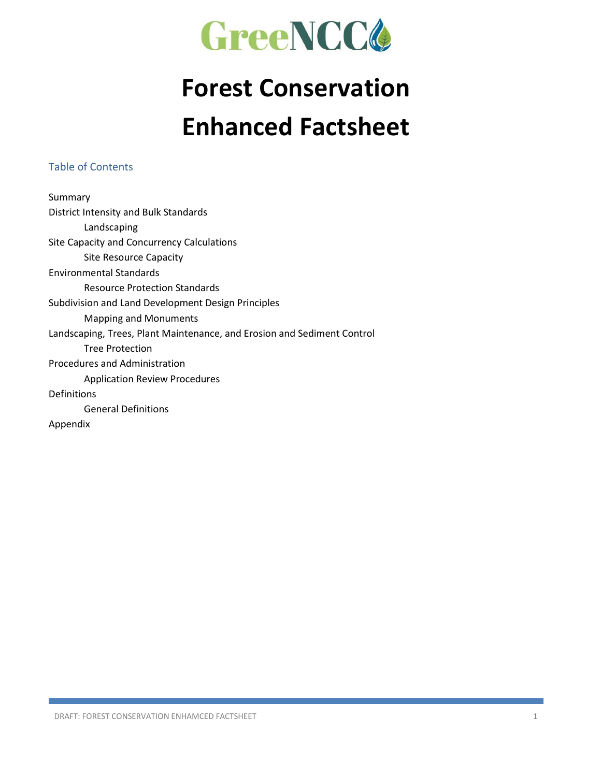

## **Forest Conservation Enhanced Factsheet**

#### Table of Contents

Summary District Intensity and Bulk Standards Landscaping Site Capacity and Concurrency Calculations Site Resource Capacity Environmental Standards Resource Protection Standards Subdivision and Land Development Design Principles Mapping and Monuments Landscaping, Trees, Plant Maintenance, and Erosion and Sediment Control Tree Protection Procedures and Administration Application Review Procedures Definitions General Definitions Appendix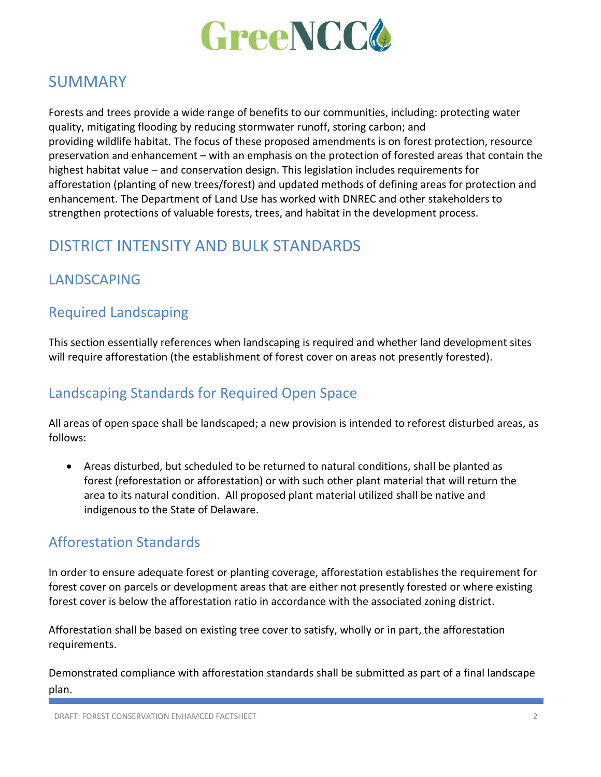

### **SUMMARY**

Forests and trees provide a wide range of benefits to our communities, including: protecting water quality, mitigating flooding by reducing stormwater runoff, storing carbon; and providing wildlife habitat. The focus of these proposed amendments is on forest protection, resource preservation and enhancement – with an emphasis on the protection of forested areas that contain the highest habitat value – and conservation design. This legislation includes requirements for afforestation (planting of new trees/forest) and updated methods of defining areas for protection and enhancement. The Department of Land Use has worked with DNREC and other stakeholders to strengthen protections of valuable forests, trees, and habitat in the development process.

## DISTRICT INTENSITY AND BULK STANDARDS

### LANDSCAPING

#### Required Landscaping

This section essentially references when landscaping is required and whether land development sites will require afforestation (the establishment of forest cover on areas not presently forested).

### Landscaping Standards for Required Open Space

All areas of open space shall be landscaped; a new provision is intended to reforest disturbed areas, as follows:

• Areas disturbed, but scheduled to be returned to natural conditions, shall be planted as forest (reforestation or afforestation) or with such other plant material that will return the area to its natural condition. All proposed plant material utilized shall be native and indigenous to the State of Delaware.

#### Afforestation Standards

In order to ensure adequate forest or planting coverage, afforestation establishes the requirement for forest cover on parcels or development areas that are either not presently forested or where existing forest cover is below the afforestation ratio in accordance with the associated zoning district.

Afforestation shall be based on existing tree cover to satisfy, wholly or in part, the afforestation requirements.

Demonstrated compliance with afforestation standards shall be submitted as part of a final landscape plan.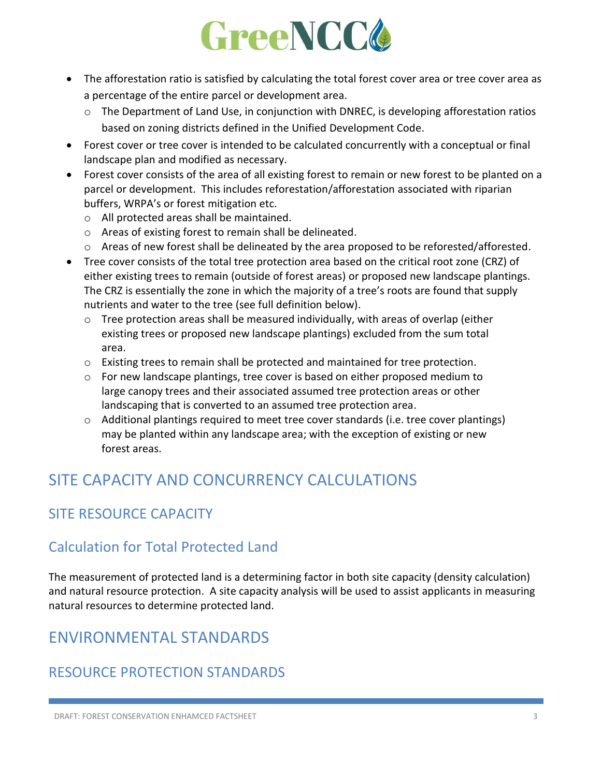- The afforestation ratio is satisfied by calculating the total forest cover area or tree cover area as a percentage of the entire parcel or development area.
	- $\circ$  The Department of Land Use, in conjunction with DNREC, is developing afforestation ratios based on zoning districts defined in the Unified Development Code.
- Forest cover or tree cover is intended to be calculated concurrently with a conceptual or final landscape plan and modified as necessary.
- Forest cover consists of the area of all existing forest to remain or new forest to be planted on a parcel or development. This includes reforestation/afforestation associated with riparian buffers, WRPA's or forest mitigation etc.
	- o All protected areas shall be maintained.
	- o Areas of existing forest to remain shall be delineated.
	- $\circ$  Areas of new forest shall be delineated by the area proposed to be reforested/afforested.
- Tree cover consists of the total tree protection area based on the critical root zone (CRZ) of either existing trees to remain (outside of forest areas) or proposed new landscape plantings. The CRZ is essentially the zone in which the majority of a tree's roots are found that supply nutrients and water to the tree (see full definition below).
	- $\circ$  Tree protection areas shall be measured individually, with areas of overlap (either existing trees or proposed new landscape plantings) excluded from the sum total area.
	- $\circ$  Existing trees to remain shall be protected and maintained for tree protection.
	- $\circ$  For new landscape plantings, tree cover is based on either proposed medium to large canopy trees and their associated assumed tree protection areas or other landscaping that is converted to an assumed tree protection area.
	- o Additional plantings required to meet tree cover standards (i.e. tree cover plantings) may be planted within any landscape area; with the exception of existing or new forest areas.

## SITE CAPACITY AND CONCURRENCY CALCULATIONS

## SITE RESOURCE CAPACITY

### Calculation for Total Protected Land

The measurement of protected land is a determining factor in both site capacity (density calculation) and natural resource protection. A site capacity analysis will be used to assist applicants in measuring natural resources to determine protected land.

## ENVIRONMENTAL STANDARDS

### RESOURCE PROTECTION STANDARDS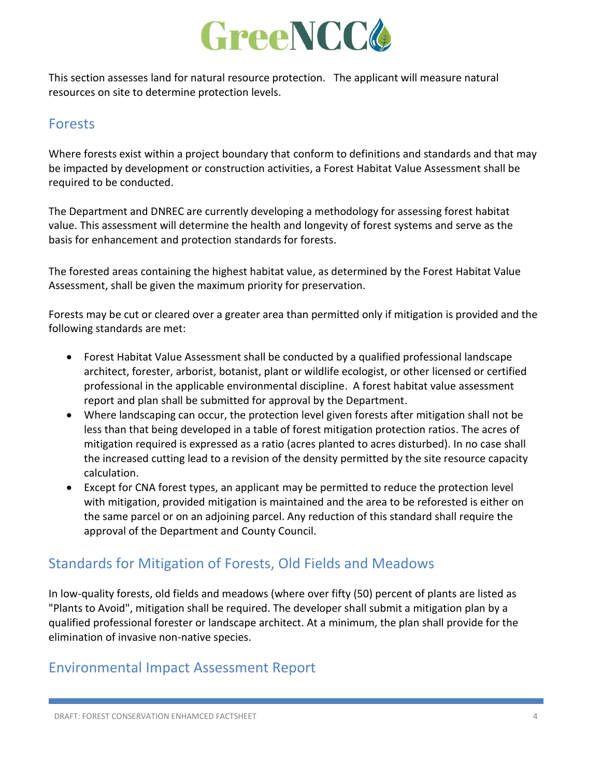

This section assesses land for natural resource protection. The applicant will measure natural resources on site to determine protection levels.

#### Forests

Where forests exist within a project boundary that conform to definitions and standards and that may be impacted by development or construction activities, a Forest Habitat Value Assessment shall be required to be conducted.

The Department and DNREC are currently developing a methodology for assessing forest habitat value. This assessment will determine the health and longevity of forest systems and serve as the basis for enhancement and protection standards for forests.

The forested areas containing the highest habitat value, as determined by the Forest Habitat Value Assessment, shall be given the maximum priority for preservation.

Forests may be cut or cleared over a greater area than permitted only if mitigation is provided and the following standards are met:

- Forest Habitat Value Assessment shall be conducted by a qualified professional landscape architect, forester, arborist, botanist, plant or wildlife ecologist, or other licensed or certified professional in the applicable environmental discipline. A forest habitat value assessment report and plan shall be submitted for approval by the Department.
- Where landscaping can occur, the protection level given forests after mitigation shall not be less than that being developed in a table of forest mitigation protection ratios. The acres of mitigation required is expressed as a ratio (acres planted to acres disturbed). In no case shall the increased cutting lead to a revision of the density permitted by the site resource capacity calculation.
- Except for CNA forest types, an applicant may be permitted to reduce the protection level with mitigation, provided mitigation is maintained and the area to be reforested is either on the same parcel or on an adjoining parcel. Any reduction of this standard shall require the approval of the Department and County Council.

#### Standards for Mitigation of Forests, Old Fields and Meadows

In low-quality forests, old fields and meadows (where over fifty (50) percent of plants are listed as "Plants to Avoid", mitigation shall be required. The developer shall submit a mitigation plan by a qualified professional forester or landscape architect. At a minimum, the plan shall provide for the elimination of invasive non-native species.

#### Environmental Impact Assessment Report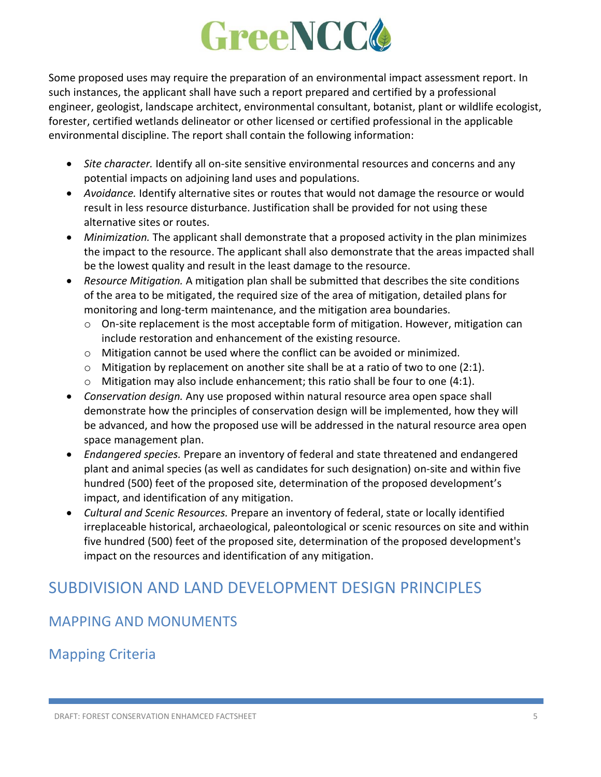Some proposed uses may require the preparation of an environmental impact assessment report. In such instances, the applicant shall have such a report prepared and certified by a professional engineer, geologist, landscape architect, environmental consultant, botanist, plant or wildlife ecologist, forester, certified wetlands delineator or other licensed or certified professional in the applicable environmental discipline. The report shall contain the following information:

- *Site character.* Identify all on-site sensitive environmental resources and concerns and any potential impacts on adjoining land uses and populations.
- *Avoidance.* Identify alternative sites or routes that would not damage the resource or would result in less resource disturbance. Justification shall be provided for not using these alternative sites or routes.
- *Minimization.* The applicant shall demonstrate that a proposed activity in the plan minimizes the impact to the resource. The applicant shall also demonstrate that the areas impacted shall be the lowest quality and result in the least damage to the resource.
- *Resource Mitigation.* A mitigation plan shall be submitted that describes the site conditions of the area to be mitigated, the required size of the area of mitigation, detailed plans for monitoring and long-term maintenance, and the mitigation area boundaries.
	- $\circ$  On-site replacement is the most acceptable form of mitigation. However, mitigation can include restoration and enhancement of the existing resource.
	- o Mitigation cannot be used where the conflict can be avoided or minimized.
	- $\circ$  Mitigation by replacement on another site shall be at a ratio of two to one (2:1).
	- $\circ$  Mitigation may also include enhancement; this ratio shall be four to one (4:1).
- *Conservation design.* Any use proposed within natural resource area open space shall demonstrate how the principles of conservation design will be implemented, how they will be advanced, and how the proposed use will be addressed in the natural resource area open space management plan.
- *Endangered species.* Prepare an inventory of federal and state threatened and endangered plant and animal species (as well as candidates for such designation) on-site and within five hundred (500) feet of the proposed site, determination of the proposed development's impact, and identification of any mitigation.
- *Cultural and Scenic Resources.* Prepare an inventory of federal, state or locally identified irreplaceable historical, archaeological, paleontological or scenic resources on site and within five hundred (500) feet of the proposed site, determination of the proposed development's impact on the resources and identification of any mitigation.

## SUBDIVISION AND LAND DEVELOPMENT DESIGN PRINCIPLES

## MAPPING AND MONUMENTS

## Mapping Criteria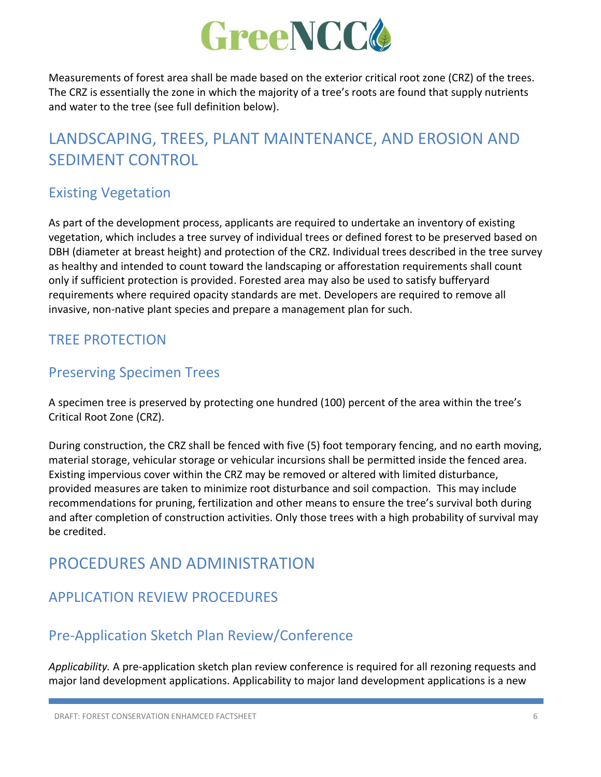

Measurements of forest area shall be made based on the exterior critical root zone (CRZ) of the trees. The CRZ is essentially the zone in which the majority of a tree's roots are found that supply nutrients and water to the tree (see full definition below).

## LANDSCAPING, TREES, PLANT MAINTENANCE, AND EROSION AND SEDIMENT CONTROL

### Existing Vegetation

As part of the development process, applicants are required to undertake an inventory of existing vegetation, which includes a tree survey of individual trees or defined forest to be preserved based on DBH (diameter at breast height) and protection of the CRZ. Individual trees described in the tree survey as healthy and intended to count toward the landscaping or afforestation requirements shall count only if sufficient protection is provided. Forested area may also be used to satisfy bufferyard requirements where required opacity standards are met. Developers are required to remove all invasive, non-native plant species and prepare a management plan for such.

#### TREE PROTECTION

#### Preserving Specimen Trees

A specimen tree is preserved by protecting one hundred (100) percent of the area within the tree's Critical Root Zone (CRZ).

During construction, the CRZ shall be fenced with five (5) foot temporary fencing, and no earth moving, material storage, vehicular storage or vehicular incursions shall be permitted inside the fenced area. Existing impervious cover within the CRZ may be removed or altered with limited disturbance, provided measures are taken to minimize root disturbance and soil compaction. This may include recommendations for pruning, fertilization and other means to ensure the tree's survival both during and after completion of construction activities. Only those trees with a high probability of survival may be credited.

## PROCEDURES AND ADMINISTRATION

#### APPLICATION REVIEW PROCEDURES

#### Pre-Application Sketch Plan Review/Conference

*Applicability.* A pre-application sketch plan review conference is required for all rezoning requests and major land development applications. Applicability to major land development applications is a new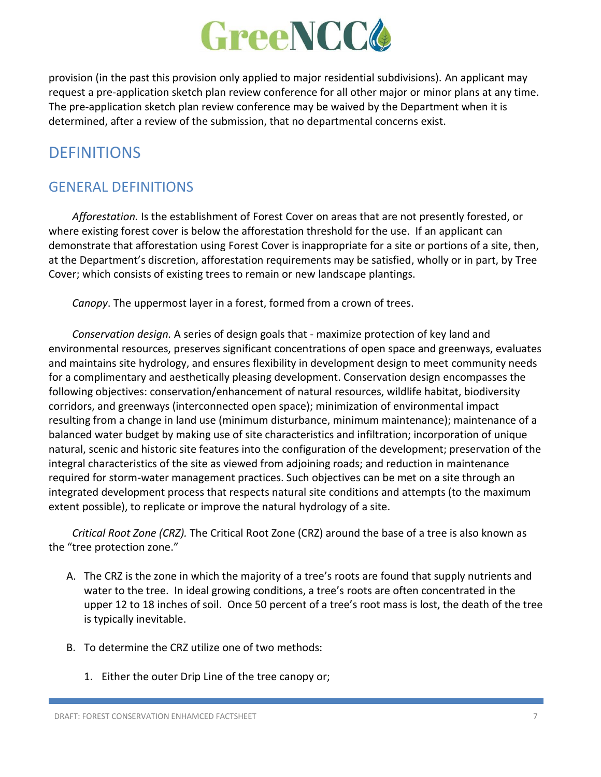provision (in the past this provision only applied to major residential subdivisions). An applicant may request a pre-application sketch plan review conference for all other major or minor plans at any time. The pre-application sketch plan review conference may be waived by the Department when it is determined, after a review of the submission, that no departmental concerns exist.

## **DEFINITIONS**

### GENERAL DEFINITIONS

*Afforestation.* Is the establishment of Forest Cover on areas that are not presently forested, or where existing forest cover is below the afforestation threshold for the use. If an applicant can demonstrate that afforestation using Forest Cover is inappropriate for a site or portions of a site, then, at the Department's discretion, afforestation requirements may be satisfied, wholly or in part, by Tree Cover; which consists of existing trees to remain or new landscape plantings.

*Canopy*. The uppermost layer in a forest, formed from a crown of trees.

*Conservation design.* A series of design goals that - maximize protection of key land and environmental resources, preserves significant concentrations of open space and greenways, evaluates and maintains site hydrology, and ensures flexibility in development design to meet community needs for a complimentary and aesthetically pleasing development. Conservation design encompasses the following objectives: conservation/enhancement of natural resources, wildlife habitat, biodiversity corridors, and greenways (interconnected open space); minimization of environmental impact resulting from a change in land use (minimum disturbance, minimum maintenance); maintenance of a balanced water budget by making use of site characteristics and infiltration; incorporation of unique natural, scenic and historic site features into the configuration of the development; preservation of the integral characteristics of the site as viewed from adjoining roads; and reduction in maintenance required for storm-water management practices. Such objectives can be met on a site through an integrated development process that respects natural site conditions and attempts (to the maximum extent possible), to replicate or improve the natural hydrology of a site.

*Critical Root Zone (CRZ).* The Critical Root Zone (CRZ) around the base of a tree is also known as the "tree protection zone."

- A. The CRZ is the zone in which the majority of a tree's roots are found that supply nutrients and water to the tree. In ideal growing conditions, a tree's roots are often concentrated in the upper 12 to 18 inches of soil. Once 50 percent of a tree's root mass is lost, the death of the tree is typically inevitable.
- B. To determine the CRZ utilize one of two methods:
	- 1. Either the outer Drip Line of the tree canopy or;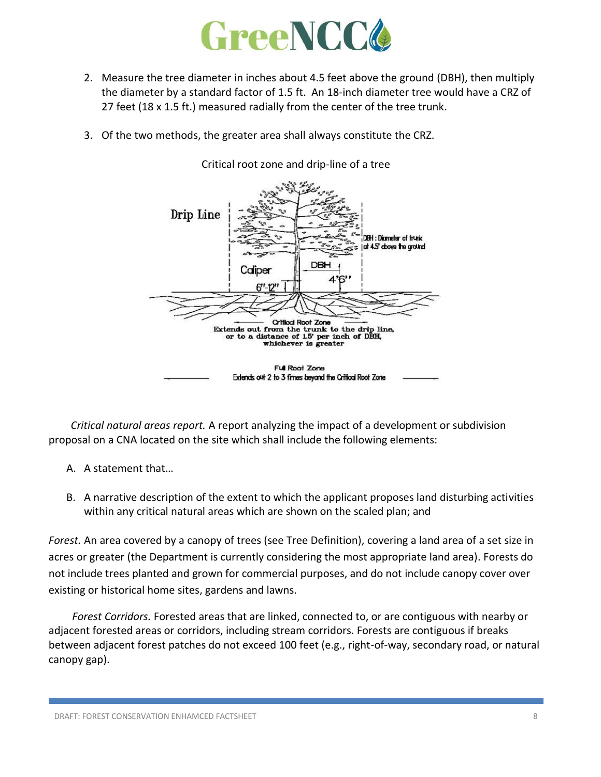

- 2. Measure the tree diameter in inches about 4.5 feet above the ground (DBH), then multiply the diameter by a standard factor of 1.5 ft. An 18-inch diameter tree would have a CRZ of 27 feet (18 x 1.5 ft.) measured radially from the center of the tree trunk.
- 3. Of the two methods, the greater area shall always constitute the CRZ.



Critical root zone and drip-line of a tree

*Critical natural areas report.* A report analyzing the impact of a development or subdivision proposal on a CNA located on the site which shall include the following elements:

- A. A statement that…
- B. A narrative description of the extent to which the applicant proposes land disturbing activities within any critical natural areas which are shown on the scaled plan; and

*Forest.* An area covered by a canopy of trees (see Tree Definition), covering a land area of a set size in acres or greater (the Department is currently considering the most appropriate land area). Forests do not include trees planted and grown for commercial purposes, and do not include canopy cover over existing or historical home sites, gardens and lawns.

*Forest Corridors.* Forested areas that are linked, connected to, or are contiguous with nearby or adjacent forested areas or corridors, including stream corridors. Forests are contiguous if breaks between adjacent forest patches do not exceed 100 feet (e.g., right-of-way, secondary road, or natural canopy gap).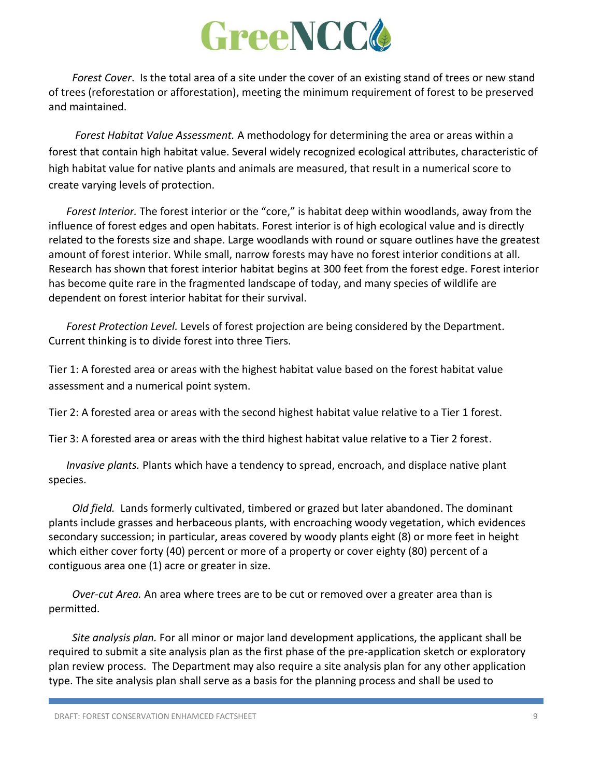*Forest Cover*. Is the total area of a site under the cover of an existing stand of trees or new stand of trees (reforestation or afforestation), meeting the minimum requirement of forest to be preserved and maintained.

*Forest Habitat Value Assessment.* A methodology for determining the area or areas within a forest that contain high habitat value. Several widely recognized ecological attributes, characteristic of high habitat value for native plants and animals are measured, that result in a numerical score to create varying levels of protection.

*Forest Interior.* The forest interior or the "core," is habitat deep within woodlands, away from the influence of forest edges and open habitats. Forest interior is of high ecological value and is directly related to the forests size and shape. Large woodlands with round or square outlines have the greatest amount of forest interior. While small, narrow forests may have no forest interior conditions at all. Research has shown that forest interior habitat begins at 300 feet from the forest edge. Forest interior has become quite rare in the fragmented landscape of today, and many species of wildlife are dependent on forest interior habitat for their survival.

*Forest Protection Level.* Levels of forest projection are being considered by the Department. Current thinking is to divide forest into three Tiers.

Tier 1: A forested area or areas with the highest habitat value based on the forest habitat value assessment and a numerical point system.

Tier 2: A forested area or areas with the second highest habitat value relative to a Tier 1 forest.

Tier 3: A forested area or areas with the third highest habitat value relative to a Tier 2 forest.

*Invasive plants.* Plants which have a tendency to spread, encroach, and displace native plant species.

*Old field.* Lands formerly cultivated, timbered or grazed but later abandoned. The dominant plants include grasses and herbaceous plants, with encroaching woody vegetation, which evidences secondary succession; in particular, areas covered by woody plants eight (8) or more feet in height which either cover forty (40) percent or more of a property or cover eighty (80) percent of a contiguous area one (1) acre or greater in size.

*Over-cut Area.* An area where trees are to be cut or removed over a greater area than is permitted.

*Site analysis plan.* For all minor or major land development applications, the applicant shall be required to submit a site analysis plan as the first phase of the pre-application sketch or exploratory plan review process. The Department may also require a site analysis plan for any other application type. The site analysis plan shall serve as a basis for the planning process and shall be used to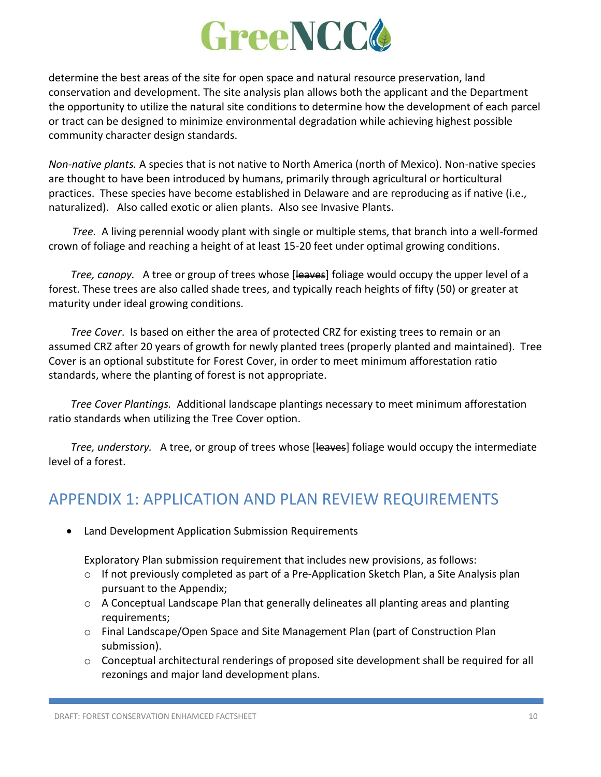determine the best areas of the site for open space and natural resource preservation, land conservation and development. The site analysis plan allows both the applicant and the Department the opportunity to utilize the natural site conditions to determine how the development of each parcel or tract can be designed to minimize environmental degradation while achieving highest possible community character design standards.

*Non-native plants.* A species that is not native to North America (north of Mexico). Non-native species are thought to have been introduced by humans, primarily through agricultural or horticultural practices. These species have become established in Delaware and are reproducing as if native (i.e., naturalized). Also called exotic or alien plants. Also see Invasive Plants.

*Tree.* A living perennial woody plant with single or multiple stems, that branch into a well-formed crown of foliage and reaching a height of at least 15-20 feet under optimal growing conditions.

*Tree, canopy.* A tree or group of trees whose [leaves] foliage would occupy the upper level of a forest. These trees are also called shade trees, and typically reach heights of fifty (50) or greater at maturity under ideal growing conditions.

*Tree Cover*. Is based on either the area of protected CRZ for existing trees to remain or an assumed CRZ after 20 years of growth for newly planted trees (properly planted and maintained). Tree Cover is an optional substitute for Forest Cover, in order to meet minimum afforestation ratio standards, where the planting of forest is not appropriate.

*Tree Cover Plantings.* Additional landscape plantings necessary to meet minimum afforestation ratio standards when utilizing the Tree Cover option.

*Tree, understory.* A tree, or group of trees whose [leaves] foliage would occupy the intermediate level of a forest.

## APPENDIX 1: APPLICATION AND PLAN REVIEW REQUIREMENTS

• Land Development Application Submission Requirements

Exploratory Plan submission requirement that includes new provisions, as follows:

- $\circ$  If not previously completed as part of a Pre-Application Sketch Plan, a Site Analysis plan pursuant to the Appendix;
- $\circ$  A Conceptual Landscape Plan that generally delineates all planting areas and planting requirements;
- o Final Landscape/Open Space and Site Management Plan (part of Construction Plan submission).
- o Conceptual architectural renderings of proposed site development shall be required for all rezonings and major land development plans.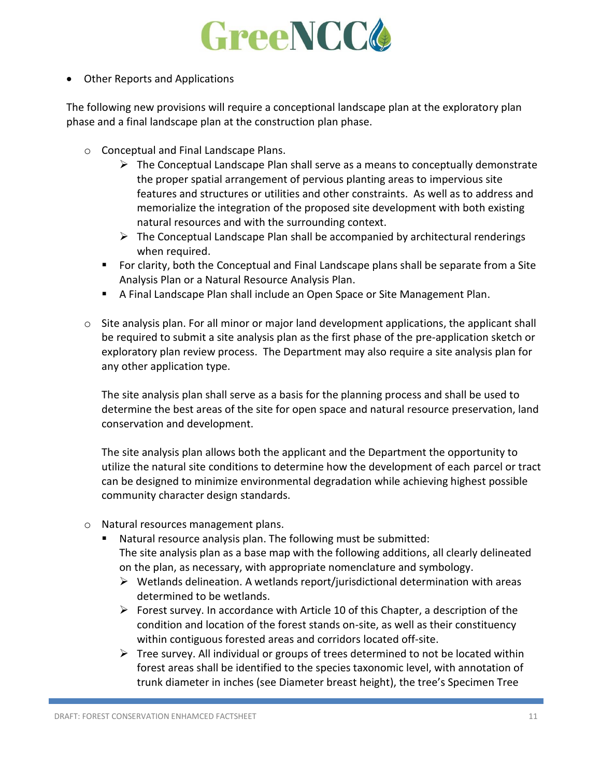

• Other Reports and Applications

The following new provisions will require a conceptional landscape plan at the exploratory plan phase and a final landscape plan at the construction plan phase.

- o Conceptual and Final Landscape Plans.
	- $\triangleright$  The Conceptual Landscape Plan shall serve as a means to conceptually demonstrate the proper spatial arrangement of pervious planting areas to impervious site features and structures or utilities and other constraints. As well as to address and memorialize the integration of the proposed site development with both existing natural resources and with the surrounding context.
	- $\triangleright$  The Conceptual Landscape Plan shall be accompanied by architectural renderings when required.
	- For clarity, both the Conceptual and Final Landscape plans shall be separate from a Site Analysis Plan or a Natural Resource Analysis Plan.
	- **E** A Final Landscape Plan shall include an Open Space or Site Management Plan.
- $\circ$  Site analysis plan. For all minor or major land development applications, the applicant shall be required to submit a site analysis plan as the first phase of the pre-application sketch or exploratory plan review process. The Department may also require a site analysis plan for any other application type.

The site analysis plan shall serve as a basis for the planning process and shall be used to determine the best areas of the site for open space and natural resource preservation, land conservation and development.

The site analysis plan allows both the applicant and the Department the opportunity to utilize the natural site conditions to determine how the development of each parcel or tract can be designed to minimize environmental degradation while achieving highest possible community character design standards.

- o Natural resources management plans.
	- Natural resource analysis plan. The following must be submitted: The site analysis plan as a base map with the following additions, all clearly delineated on the plan, as necessary, with appropriate nomenclature and symbology.
		- $\triangleright$  Wetlands delineation. A wetlands report/jurisdictional determination with areas determined to be wetlands.
		- $\triangleright$  Forest survey. In accordance with Article 10 of this Chapter, a description of the condition and location of the forest stands on-site, as well as their constituency within contiguous forested areas and corridors located off-site.
		- $\triangleright$  Tree survey. All individual or groups of trees determined to not be located within forest areas shall be identified to the species taxonomic level, with annotation of trunk diameter in inches (see Diameter breast height), the tree's Specimen Tree